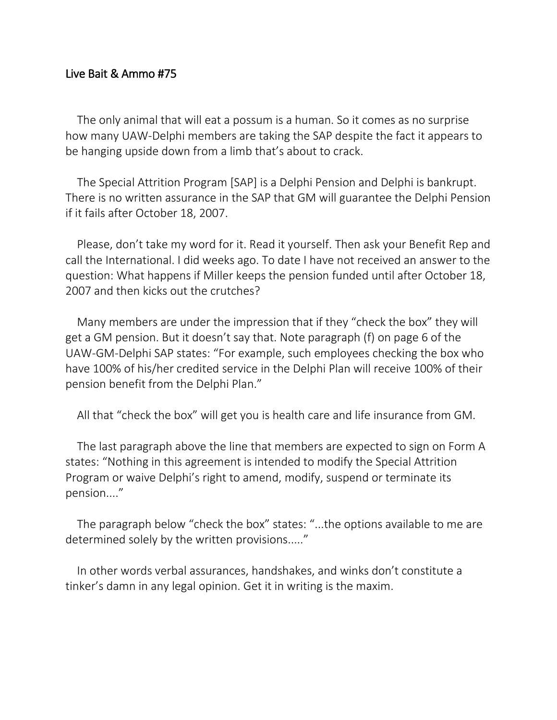## Live Bait & Ammo #75

The only animal that will eat a possum is a human. So it comes as no surprise how many UAW-Delphi members are taking the SAP despite the fact it appears to be hanging upside down from a limb that's about to crack.

The Special Attrition Program [SAP] is a Delphi Pension and Delphi is bankrupt. There is no written assurance in the SAP that GM will guarantee the Delphi Pension if it fails after October 18, 2007.

Please, don't take my word for it. Read it yourself. Then ask your Benefit Rep and call the International. I did weeks ago. To date I have not received an answer to the question: What happens if Miller keeps the pension funded until after October 18, 2007 and then kicks out the crutches?

Many members are under the impression that if they "check the box" they will get a GM pension. But it doesn't say that. Note paragraph (f) on page 6 of the UAW-GM-Delphi SAP states: "For example, such employees checking the box who have 100% of his/her credited service in the Delphi Plan will receive 100% of their pension benefit from the Delphi Plan."

All that "check the box" will get you is health care and life insurance from GM.

The last paragraph above the line that members are expected to sign on Form A states: "Nothing in this agreement is intended to modify the Special Attrition Program or waive Delphi's right to amend, modify, suspend or terminate its pension...."

The paragraph below "check the box" states: "...the options available to me are determined solely by the written provisions....."

In other words verbal assurances, handshakes, and winks don't constitute a tinker's damn in any legal opinion. Get it in writing is the maxim.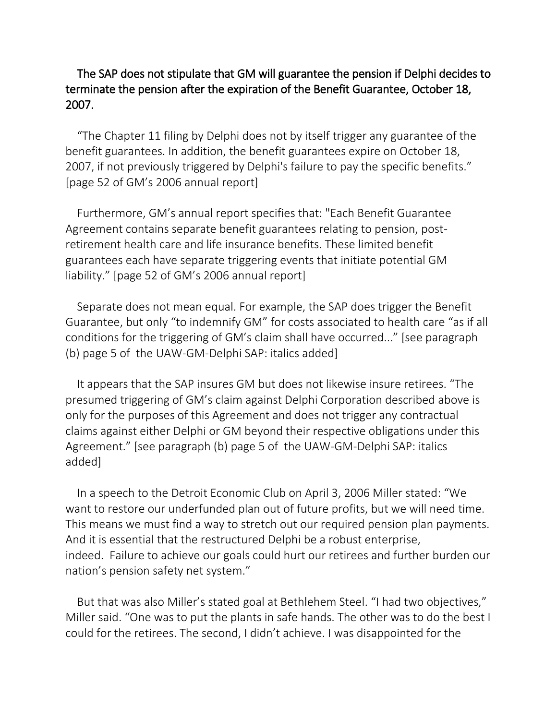## The SAP does not stipulate that GM will guarantee the pension if Delphi decides to terminate the pension after the expiration of the Benefit Guarantee, October 18, 2007.

"The Chapter 11 filing by Delphi does not by itself trigger any guarantee of the benefit guarantees. In addition, the benefit guarantees expire on October 18, 2007, if not previously triggered by Delphi's failure to pay the specific benefits." [page 52 of GM's 2006 annual report]

Furthermore, GM's annual report specifies that: "Each Benefit Guarantee Agreement contains separate benefit guarantees relating to pension, postretirement health care and life insurance benefits. These limited benefit guarantees each have separate triggering events that initiate potential GM liability." [page 52 of GM's 2006 annual report]

Separate does not mean equal. For example, the SAP does trigger the Benefit Guarantee, but only "to indemnify GM" for costs associated to health care "as if all conditions for the triggering of GM's claim shall have occurred..." [see paragraph (b) page 5 of the UAW-GM-Delphi SAP: italics added]

It appears that the SAP insures GM but does not likewise insure retirees. "The presumed triggering of GM's claim against Delphi Corporation described above is only for the purposes of this Agreement and does not trigger any contractual claims against either Delphi or GM beyond their respective obligations under this Agreement." [see paragraph (b) page 5 of the UAW-GM-Delphi SAP: italics added]

In a speech to the Detroit Economic Club on April 3, 2006 Miller stated: "We want to restore our underfunded plan out of future profits, but we will need time. This means we must find a way to stretch out our required pension plan payments. And it is essential that the restructured Delphi be a robust enterprise, indeed. Failure to achieve our goals could hurt our retirees and further burden our nation's pension safety net system."

But that was also Miller's stated goal at Bethlehem Steel. "I had two objectives," Miller said. "One was to put the plants in safe hands. The other was to do the best I could for the retirees. The second, I didn't achieve. I was disappointed for the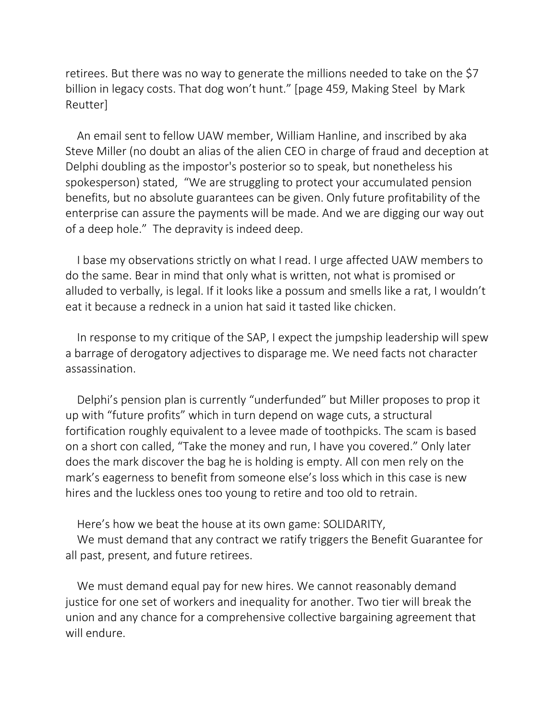retirees. But there was no way to generate the millions needed to take on the \$7 billion in legacy costs. That dog won't hunt." [page 459, Making Steel by Mark Reutter]

An email sent to fellow UAW member, William Hanline, and inscribed by aka Steve Miller (no doubt an alias of the alien CEO in charge of fraud and deception at Delphi doubling as the impostor's posterior so to speak, but nonetheless his spokesperson) stated, "We are struggling to protect your accumulated pension benefits, but no absolute guarantees can be given. Only future profitability of the enterprise can assure the payments will be made. And we are digging our way out of a deep hole." The depravity is indeed deep.

I base my observations strictly on what I read. I urge affected UAW members to do the same. Bear in mind that only what is written, not what is promised or alluded to verbally, is legal. If it looks like a possum and smells like a rat, I wouldn't eat it because a redneck in a union hat said it tasted like chicken.

In response to my critique of the SAP, I expect the jumpship leadership will spew a barrage of derogatory adjectives to disparage me. We need facts not character assassination.

Delphi's pension plan is currently "underfunded" but Miller proposes to prop it up with "future profits" which in turn depend on wage cuts, a structural fortification roughly equivalent to a levee made of toothpicks. The scam is based on a short con called, "Take the money and run, I have you covered." Only later does the mark discover the bag he is holding is empty. All con men rely on the mark's eagerness to benefit from someone else's loss which in this case is new hires and the luckless ones too young to retire and too old to retrain.

Here's how we beat the house at its own game: SOLIDARITY, We must demand that any contract we ratify triggers the Benefit Guarantee for all past, present, and future retirees.

We must demand equal pay for new hires. We cannot reasonably demand justice for one set of workers and inequality for another. Two tier will break the union and any chance for a comprehensive collective bargaining agreement that will endure.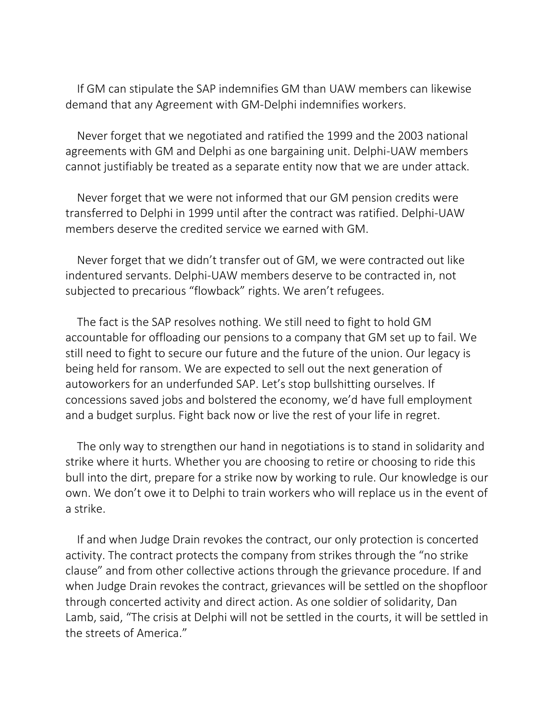If GM can stipulate the SAP indemnifies GM than UAW members can likewise demand that any Agreement with GM-Delphi indemnifies workers.

Never forget that we negotiated and ratified the 1999 and the 2003 national agreements with GM and Delphi as one bargaining unit. Delphi-UAW members cannot justifiably be treated as a separate entity now that we are under attack.

Never forget that we were not informed that our GM pension credits were transferred to Delphi in 1999 until after the contract was ratified. Delphi-UAW members deserve the credited service we earned with GM.

Never forget that we didn't transfer out of GM, we were contracted out like indentured servants. Delphi-UAW members deserve to be contracted in, not subjected to precarious "flowback" rights. We aren't refugees.

The fact is the SAP resolves nothing. We still need to fight to hold GM accountable for offloading our pensions to a company that GM set up to fail. We still need to fight to secure our future and the future of the union. Our legacy is being held for ransom. We are expected to sell out the next generation of autoworkers for an underfunded SAP. Let's stop bullshitting ourselves. If concessions saved jobs and bolstered the economy, we'd have full employment and a budget surplus. Fight back now or live the rest of your life in regret.

The only way to strengthen our hand in negotiations is to stand in solidarity and strike where it hurts. Whether you are choosing to retire or choosing to ride this bull into the dirt, prepare for a strike now by working to rule. Our knowledge is our own. We don't owe it to Delphi to train workers who will replace us in the event of a strike.

If and when Judge Drain revokes the contract, our only protection is concerted activity. The contract protects the company from strikes through the "no strike clause" and from other collective actions through the grievance procedure. If and when Judge Drain revokes the contract, grievances will be settled on the shopfloor through concerted activity and direct action. As one soldier of solidarity, Dan Lamb, said, "The crisis at Delphi will not be settled in the courts, it will be settled in the streets of America."